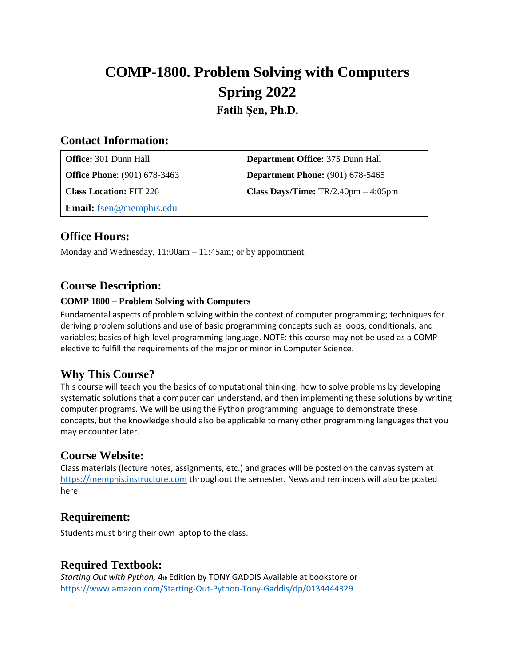# **COMP-1800. Problem Solving with Computers Spring 2022 Fatih Șen, Ph.D.**

#### **Contact Information:**

| <b>Office:</b> 301 Dunn Hall        | Department Office: 375 Dunn Hall         |
|-------------------------------------|------------------------------------------|
| <b>Office Phone:</b> (901) 678-3463 | <b>Department Phone:</b> (901) 678-5465  |
| <b>Class Location: FIT 226</b>      | Class Days/Time: $TR/2.40$ pm $-4:05$ pm |
| <b>Email:</b> fsen@memphis.edu      |                                          |

## **Office Hours:**

Monday and Wednesday, 11:00am – 11:45am; or by appointment.

#### **Course Description:**

#### **COMP 1800 – Problem Solving with Computers**

Fundamental aspects of problem solving within the context of computer programming; techniques for deriving problem solutions and use of basic programming concepts such as loops, conditionals, and variables; basics of high-level programming language. NOTE: this course may not be used as a COMP elective to fulfill the requirements of the major or minor in Computer Science.

## **Why This Course?**

This course will teach you the basics of computational thinking: how to solve problems by developing systematic solutions that a computer can understand, and then implementing these solutions by writing computer programs. We will be using the Python programming language to demonstrate these concepts, but the knowledge should also be applicable to many other programming languages that you may encounter later.

#### **Course Website:**

Class materials (lecture notes, assignments, etc.) and grades will be posted on the canvas system at [https://memphis.instructure.com](https://memphis.instructure.com/) throughout the semester. News and reminders will also be posted here.

## **Requirement:**

Students must bring their own laptop to the class.

## **Required Textbook:**

*Starting Out with Python,* 4th Edition by TONY GADDIS Available at bookstore or https://www.amazon.com/Starting-Out-Python-Tony-Gaddis/dp/0134444329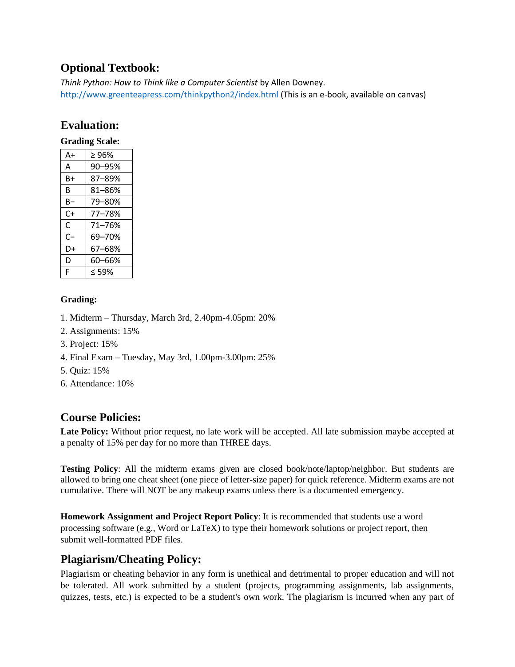# **Optional Textbook:**

*Think Python: How to Think like a Computer Scientist* by Allen Downey. http://www.greenteapress.com/thinkpython2/index.html (This is an e-book, available on canvas)

## **Evaluation:**

#### **Grading Scale:**

| A+ | >96%       |
|----|------------|
| А  | 90-95%     |
| B+ | 87-89%     |
| R  | $81 - 86%$ |
| B- | 79-80%     |
| C+ | 77-78%     |
| C  | 71-76%     |
| C- | 69-70%     |
| D+ | 67-68%     |
| D  | 60-66%     |
| F  | $<$ 59%    |

#### **Grading:**

- 1. Midterm Thursday, March 3rd, 2.40pm-4.05pm: 20%
- 2. Assignments: 15%
- 3. Project: 15%
- 4. Final Exam Tuesday, May 3rd, 1.00pm-3.00pm: 25%
- 5. Quiz: 15%
- 6. Attendance: 10%

## **Course Policies:**

**Late Policy:** Without prior request, no late work will be accepted. All late submission maybe accepted at a penalty of 15% per day for no more than THREE days.

**Testing Policy**: All the midterm exams given are closed book/note/laptop/neighbor. But students are allowed to bring one cheat sheet (one piece of letter-size paper) for quick reference. Midterm exams are not cumulative. There will NOT be any makeup exams unless there is a documented emergency.

**Homework Assignment and Project Report Policy**: It is recommended that students use a word processing software (e.g., Word or LaTeX) to type their homework solutions or project report, then submit well-formatted PDF files.

# **Plagiarism/Cheating Policy:**

Plagiarism or cheating behavior in any form is unethical and detrimental to proper education and will not be tolerated. All work submitted by a student (projects, programming assignments, lab assignments, quizzes, tests, etc.) is expected to be a student's own work. The plagiarism is incurred when any part of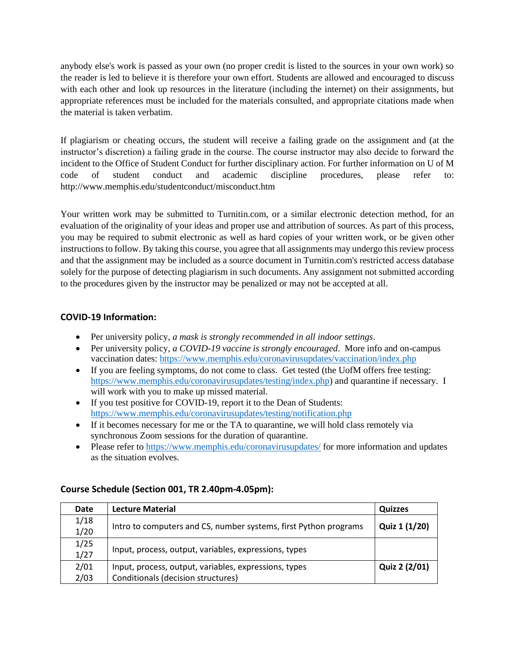anybody else's work is passed as your own (no proper credit is listed to the sources in your own work) so the reader is led to believe it is therefore your own effort. Students are allowed and encouraged to discuss with each other and look up resources in the literature (including the internet) on their assignments, but appropriate references must be included for the materials consulted, and appropriate citations made when the material is taken verbatim.

If plagiarism or cheating occurs, the student will receive a failing grade on the assignment and (at the instructor's discretion) a failing grade in the course. The course instructor may also decide to forward the incident to the Office of Student Conduct for further disciplinary action. For further information on U of M code of student conduct and academic discipline procedures, please refer to: http://www.memphis.edu/studentconduct/misconduct.htm

Your written work may be submitted to Turnitin.com, or a similar electronic detection method, for an evaluation of the originality of your ideas and proper use and attribution of sources. As part of this process, you may be required to submit electronic as well as hard copies of your written work, or be given other instructions to follow. By taking this course, you agree that all assignments may undergo this review process and that the assignment may be included as a source document in Turnitin.com's restricted access database solely for the purpose of detecting plagiarism in such documents. Any assignment not submitted according to the procedures given by the instructor may be penalized or may not be accepted at all.

#### **COVID-19 Information:**

- Per university policy, *a mask is strongly recommended in all indoor settings*.
- Per university policy, *a COVID-19 vaccine is strongly encouraged*. More info and on-campus vaccination dates:<https://www.memphis.edu/coronavirusupdates/vaccination/index.php>
- If you are feeling symptoms, do not come to class. Get tested (the UofM offers free testing: [https://www.memphis.edu/coronavirusupdates/testing/index.php\)](https://www.memphis.edu/coronavirusupdates/testing/index.php) and quarantine if necessary. I will work with you to make up missed material.
- If you test positive for COVID-19, report it to the Dean of Students: <https://www.memphis.edu/coronavirusupdates/testing/notification.php>
- If it becomes necessary for me or the TA to quarantine, we will hold class remotely via synchronous Zoom sessions for the duration of quarantine.
- Please refer to<https://www.memphis.edu/coronavirusupdates/> for more information and updates as the situation evolves.

#### **Course Schedule (Section 001, TR 2.40pm-4.05pm):**

| Date | <b>Lecture Material</b>                                          | Quizzes       |
|------|------------------------------------------------------------------|---------------|
| 1/18 | Intro to computers and CS, number systems, first Python programs |               |
| 1/20 |                                                                  | Quiz 1 (1/20) |
| 1/25 |                                                                  |               |
| 1/27 | Input, process, output, variables, expressions, types            |               |
| 2/01 | Input, process, output, variables, expressions, types            | Quiz 2 (2/01) |
| 2/03 | Conditionals (decision structures)                               |               |